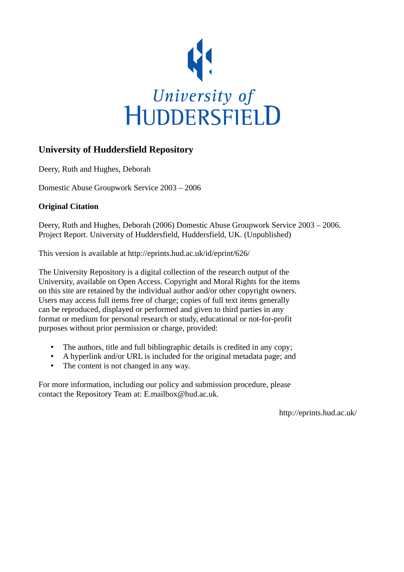

### **University of Huddersfield Repository**

Deery, Ruth and Hughes, Deborah

Domestic Abuse Groupwork Service 2003 – 2006

### **Original Citation**

Deery, Ruth and Hughes, Deborah (2006) Domestic Abuse Groupwork Service 2003 – 2006. Project Report. University of Huddersfield, Huddersfield, UK. (Unpublished)

This version is available at http://eprints.hud.ac.uk/id/eprint/626/

The University Repository is a digital collection of the research output of the University, available on Open Access. Copyright and Moral Rights for the items on this site are retained by the individual author and/or other copyright owners. Users may access full items free of charge; copies of full text items generally can be reproduced, displayed or performed and given to third parties in any format or medium for personal research or study, educational or not-for-profit purposes without prior permission or charge, provided:

- The authors, title and full bibliographic details is credited in any copy;
- A hyperlink and/or URL is included for the original metadata page; and
- The content is not changed in any way.

For more information, including our policy and submission procedure, please contact the Repository Team at: E.mailbox@hud.ac.uk.

http://eprints.hud.ac.uk/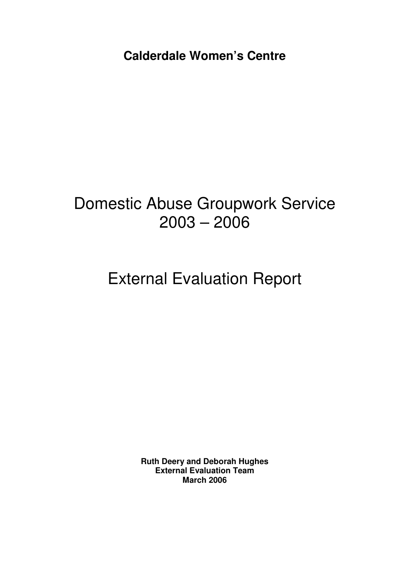**Calderdale Women's Centre** 

# Domestic Abuse Groupwork Service 2003 – 2006

# External Evaluation Report

**Ruth Deery and Deborah Hughes External Evaluation Team March 2006**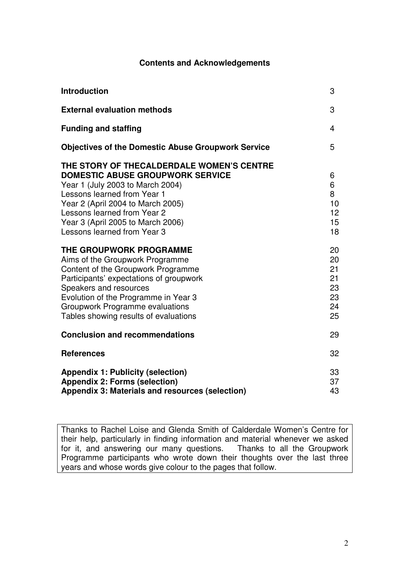### **Contents and Acknowledgements**

| <b>Introduction</b>                                                                                                                                                                                                                                                                             | 3                                            |
|-------------------------------------------------------------------------------------------------------------------------------------------------------------------------------------------------------------------------------------------------------------------------------------------------|----------------------------------------------|
| <b>External evaluation methods</b>                                                                                                                                                                                                                                                              | 3                                            |
| <b>Funding and staffing</b>                                                                                                                                                                                                                                                                     | 4                                            |
| <b>Objectives of the Domestic Abuse Groupwork Service</b>                                                                                                                                                                                                                                       | 5                                            |
| THE STORY OF THECALDERDALE WOMEN'S CENTRE<br><b>DOMESTIC ABUSE GROUPWORK SERVICE</b><br>Year 1 (July 2003 to March 2004)<br>Lessons learned from Year 1<br>Year 2 (April 2004 to March 2005)<br>Lessons learned from Year 2<br>Year 3 (April 2005 to March 2006)<br>Lessons learned from Year 3 | 6<br>6<br>8<br>10<br>12<br>15<br>18          |
| THE GROUPWORK PROGRAMME<br>Aims of the Groupwork Programme<br>Content of the Groupwork Programme<br>Participants' expectations of groupwork<br>Speakers and resources<br>Evolution of the Programme in Year 3<br>Groupwork Programme evaluations<br>Tables showing results of evaluations       | 20<br>20<br>21<br>21<br>23<br>23<br>24<br>25 |
| <b>Conclusion and recommendations</b>                                                                                                                                                                                                                                                           | 29                                           |
| <b>References</b>                                                                                                                                                                                                                                                                               | 32                                           |
| <b>Appendix 1: Publicity (selection)</b><br><b>Appendix 2: Forms (selection)</b><br><b>Appendix 3: Materials and resources (selection)</b>                                                                                                                                                      | 33<br>37<br>43                               |

Thanks to Rachel Loise and Glenda Smith of Calderdale Women's Centre for their help, particularly in finding information and material whenever we asked for it, and answering our many questions. Thanks to all the Groupwork Programme participants who wrote down their thoughts over the last three years and whose words give colour to the pages that follow.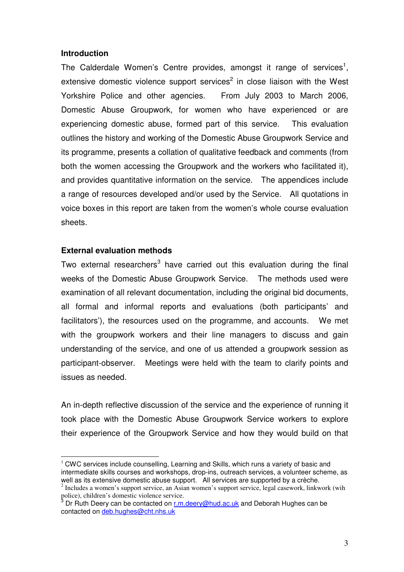#### **Introduction**

The Calderdale Women's Centre provides, amongst it range of services<sup>1</sup>, extensive domestic violence support services<sup>2</sup> in close liaison with the West Yorkshire Police and other agencies. From July 2003 to March 2006, Domestic Abuse Groupwork, for women who have experienced or are experiencing domestic abuse, formed part of this service. This evaluation outlines the history and working of the Domestic Abuse Groupwork Service and its programme, presents a collation of qualitative feedback and comments (from both the women accessing the Groupwork and the workers who facilitated it), and provides quantitative information on the service. The appendices include a range of resources developed and/or used by the Service. All quotations in voice boxes in this report are taken from the women's whole course evaluation sheets.

### **External evaluation methods**

 $\overline{a}$ 

Two external researchers<sup>3</sup> have carried out this evaluation during the final weeks of the Domestic Abuse Groupwork Service. The methods used were examination of all relevant documentation, including the original bid documents, all formal and informal reports and evaluations (both participants' and facilitators'), the resources used on the programme, and accounts. We met with the groupwork workers and their line managers to discuss and gain understanding of the service, and one of us attended a groupwork session as participant-observer. Meetings were held with the team to clarify points and issues as needed.

An in-depth reflective discussion of the service and the experience of running it took place with the Domestic Abuse Groupwork Service workers to explore their experience of the Groupwork Service and how they would build on that

 $1$  CWC services include counselling, Learning and Skills, which runs a variety of basic and intermediate skills courses and workshops, drop-ins, outreach services, a volunteer scheme, as well as its extensive domestic abuse support. All services are supported by a crèche.

<sup>&</sup>lt;sup>2</sup> Includes a women's support service, an Asian women's support service, legal casework, linkwork (wih police), children's domestic violence service.<br><sup>3</sup> Dr. Buth Doorvoon be contected on r.m.

Dr Ruth Deery can be contacted on r.m.deery@hud.ac.uk and Deborah Hughes can be contacted on deb.hughes@cht.nhs.uk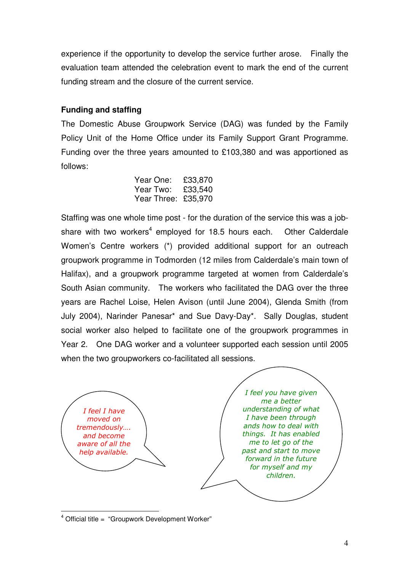experience if the opportunity to develop the service further arose. Finally the evaluation team attended the celebration event to mark the end of the current funding stream and the closure of the current service.

### **Funding and staffing**

The Domestic Abuse Groupwork Service (DAG) was funded by the Family Policy Unit of the Home Office under its Family Support Grant Programme. Funding over the three years amounted to £103,380 and was apportioned as follows:

| Year One: £33,870   |  |
|---------------------|--|
| Year Two: £33,540   |  |
| Year Three: £35,970 |  |

Staffing was one whole time post - for the duration of the service this was a jobshare with two workers<sup>4</sup> employed for 18.5 hours each. Other Calderdale Women's Centre workers (\*) provided additional support for an outreach groupwork programme in Todmorden (12 miles from Calderdale's main town of Halifax), and a groupwork programme targeted at women from Calderdale's South Asian community. The workers who facilitated the DAG over the three years are Rachel Loise, Helen Avison (until June 2004), Glenda Smith (from July 2004), Narinder Panesar\* and Sue Davy-Day\*. Sally Douglas, student social worker also helped to facilitate one of the groupwork programmes in Year 2. One DAG worker and a volunteer supported each session until 2005 when the two groupworkers co-facilitated all sessions.



<sup>&</sup>lt;sup>4</sup> Official title = "Groupwork Development Worker"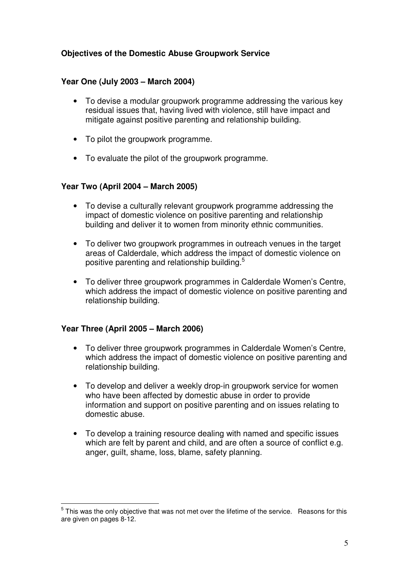### **Objectives of the Domestic Abuse Groupwork Service**

### **Year One (July 2003 – March 2004)**

- To devise a modular groupwork programme addressing the various key residual issues that, having lived with violence, still have impact and mitigate against positive parenting and relationship building.
- To pilot the groupwork programme.
- To evaluate the pilot of the groupwork programme.

### **Year Two (April 2004 – March 2005)**

- To devise a culturally relevant groupwork programme addressing the impact of domestic violence on positive parenting and relationship building and deliver it to women from minority ethnic communities.
- To deliver two groupwork programmes in outreach venues in the target areas of Calderdale, which address the impact of domestic violence on positive parenting and relationship building.<sup>5</sup>
- To deliver three groupwork programmes in Calderdale Women's Centre, which address the impact of domestic violence on positive parenting and relationship building.

### **Year Three (April 2005 – March 2006)**

- To deliver three groupwork programmes in Calderdale Women's Centre, which address the impact of domestic violence on positive parenting and relationship building.
- To develop and deliver a weekly drop-in groupwork service for women who have been affected by domestic abuse in order to provide information and support on positive parenting and on issues relating to domestic abuse.
- To develop a training resource dealing with named and specific issues which are felt by parent and child, and are often a source of conflict e.g. anger, guilt, shame, loss, blame, safety planning.

 $\overline{a}$  $<sup>5</sup>$  This was the only objective that was not met over the lifetime of the service. Reasons for this</sup> are given on pages 8-12.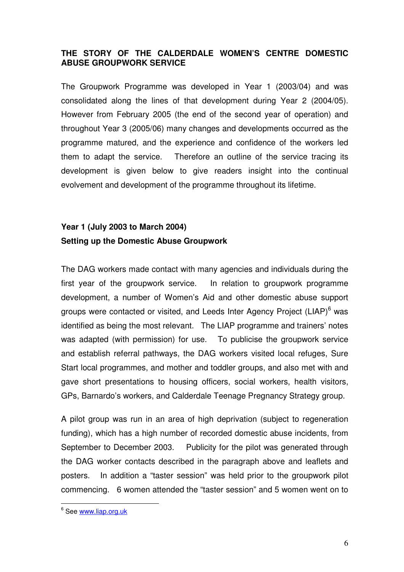### **THE STORY OF THE CALDERDALE WOMEN'S CENTRE DOMESTIC ABUSE GROUPWORK SERVICE**

The Groupwork Programme was developed in Year 1 (2003/04) and was consolidated along the lines of that development during Year 2 (2004/05). However from February 2005 (the end of the second year of operation) and throughout Year 3 (2005/06) many changes and developments occurred as the programme matured, and the experience and confidence of the workers led them to adapt the service. Therefore an outline of the service tracing its development is given below to give readers insight into the continual evolvement and development of the programme throughout its lifetime.

### **Year 1 (July 2003 to March 2004) Setting up the Domestic Abuse Groupwork**

The DAG workers made contact with many agencies and individuals during the first year of the groupwork service. In relation to groupwork programme development, a number of Women's Aid and other domestic abuse support groups were contacted or visited, and Leeds Inter Agency Project (LIAP)<sup>6</sup> was identified as being the most relevant. The LIAP programme and trainers' notes was adapted (with permission) for use. To publicise the groupwork service and establish referral pathways, the DAG workers visited local refuges, Sure Start local programmes, and mother and toddler groups, and also met with and gave short presentations to housing officers, social workers, health visitors, GPs, Barnardo's workers, and Calderdale Teenage Pregnancy Strategy group.

A pilot group was run in an area of high deprivation (subject to regeneration funding), which has a high number of recorded domestic abuse incidents, from September to December 2003. Publicity for the pilot was generated through the DAG worker contacts described in the paragraph above and leaflets and posters. In addition a "taster session" was held prior to the groupwork pilot commencing. 6 women attended the "taster session" and 5 women went on to

<sup>&</sup>lt;u>.</u><br><sup>6</sup> See <u>www.liap.org.uk</u>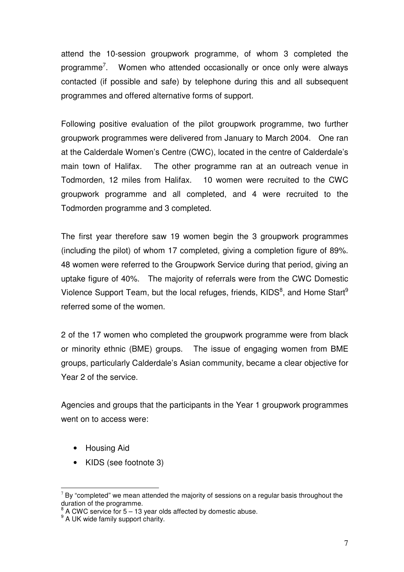attend the 10-session groupwork programme, of whom 3 completed the programme<sup>7</sup>. Women who attended occasionally or once only were always contacted (if possible and safe) by telephone during this and all subsequent programmes and offered alternative forms of support.

Following positive evaluation of the pilot groupwork programme, two further groupwork programmes were delivered from January to March 2004. One ran at the Calderdale Women's Centre (CWC), located in the centre of Calderdale's main town of Halifax. The other programme ran at an outreach venue in Todmorden, 12 miles from Halifax. 10 women were recruited to the CWC groupwork programme and all completed, and 4 were recruited to the Todmorden programme and 3 completed.

The first year therefore saw 19 women begin the 3 groupwork programmes (including the pilot) of whom 17 completed, giving a completion figure of 89%. 48 women were referred to the Groupwork Service during that period, giving an uptake figure of 40%. The majority of referrals were from the CWC Domestic Violence Support Team, but the local refuges, friends, KIDS<sup>8</sup>, and Home Start<sup>9</sup> referred some of the women.

2 of the 17 women who completed the groupwork programme were from black or minority ethnic (BME) groups. The issue of engaging women from BME groups, particularly Calderdale's Asian community, became a clear objective for Year 2 of the service.

Agencies and groups that the participants in the Year 1 groupwork programmes went on to access were:

- Housing Aid
- KIDS (see footnote 3)

 $\overline{a}$  $7$  By "completed" we mean attended the majority of sessions on a regular basis throughout the duration of the programme.

 $8<sup>8</sup>$  A CWC service for 5 – 13 year olds affected by domestic abuse.

<sup>&</sup>lt;sup>9</sup> A UK wide family support charity.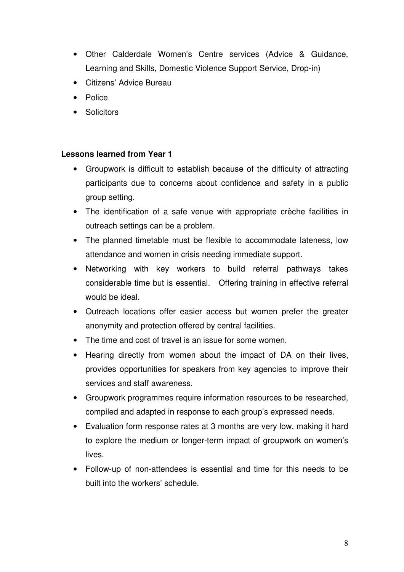- Other Calderdale Women's Centre services (Advice & Guidance, Learning and Skills, Domestic Violence Support Service, Drop-in)
- Citizens' Advice Bureau
- Police
- Solicitors

### **Lessons learned from Year 1**

- Groupwork is difficult to establish because of the difficulty of attracting participants due to concerns about confidence and safety in a public group setting.
- The identification of a safe venue with appropriate crèche facilities in outreach settings can be a problem.
- The planned timetable must be flexible to accommodate lateness, low attendance and women in crisis needing immediate support.
- Networking with key workers to build referral pathways takes considerable time but is essential. Offering training in effective referral would be ideal.
- Outreach locations offer easier access but women prefer the greater anonymity and protection offered by central facilities.
- The time and cost of travel is an issue for some women.
- Hearing directly from women about the impact of DA on their lives, provides opportunities for speakers from key agencies to improve their services and staff awareness.
- Groupwork programmes require information resources to be researched, compiled and adapted in response to each group's expressed needs.
- Evaluation form response rates at 3 months are very low, making it hard to explore the medium or longer-term impact of groupwork on women's lives.
- Follow-up of non-attendees is essential and time for this needs to be built into the workers' schedule.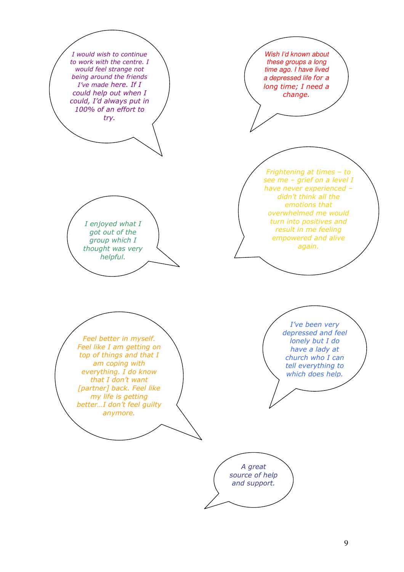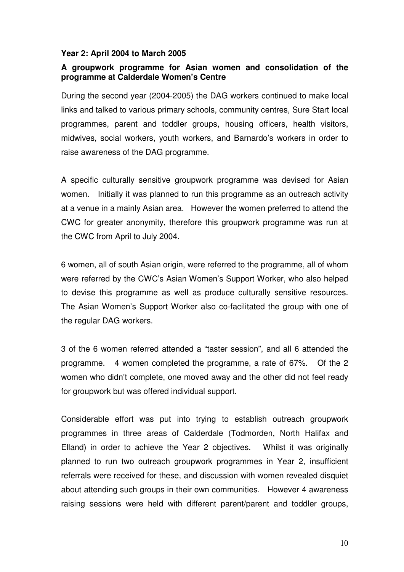### **Year 2: April 2004 to March 2005**

### **A groupwork programme for Asian women and consolidation of the programme at Calderdale Women's Centre**

During the second year (2004-2005) the DAG workers continued to make local links and talked to various primary schools, community centres, Sure Start local programmes, parent and toddler groups, housing officers, health visitors, midwives, social workers, youth workers, and Barnardo's workers in order to raise awareness of the DAG programme.

A specific culturally sensitive groupwork programme was devised for Asian women. Initially it was planned to run this programme as an outreach activity at a venue in a mainly Asian area. However the women preferred to attend the CWC for greater anonymity, therefore this groupwork programme was run at the CWC from April to July 2004.

6 women, all of south Asian origin, were referred to the programme, all of whom were referred by the CWC's Asian Women's Support Worker, who also helped to devise this programme as well as produce culturally sensitive resources. The Asian Women's Support Worker also co-facilitated the group with one of the regular DAG workers.

3 of the 6 women referred attended a "taster session", and all 6 attended the programme. 4 women completed the programme, a rate of 67%. Of the 2 women who didn't complete, one moved away and the other did not feel ready for groupwork but was offered individual support.

Considerable effort was put into trying to establish outreach groupwork programmes in three areas of Calderdale (Todmorden, North Halifax and Elland) in order to achieve the Year 2 objectives. Whilst it was originally planned to run two outreach groupwork programmes in Year 2, insufficient referrals were received for these, and discussion with women revealed disquiet about attending such groups in their own communities. However 4 awareness raising sessions were held with different parent/parent and toddler groups,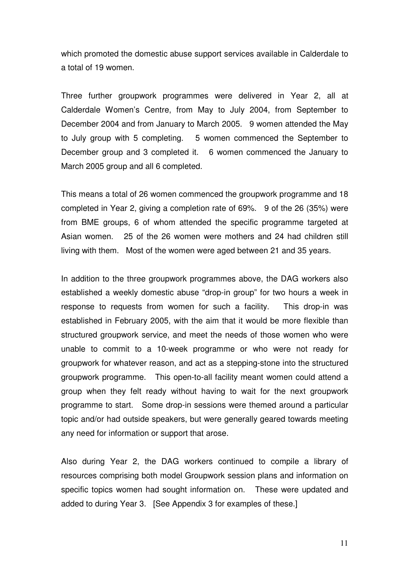which promoted the domestic abuse support services available in Calderdale to a total of 19 women.

Three further groupwork programmes were delivered in Year 2, all at Calderdale Women's Centre, from May to July 2004, from September to December 2004 and from January to March 2005. 9 women attended the May to July group with 5 completing. 5 women commenced the September to December group and 3 completed it. 6 women commenced the January to March 2005 group and all 6 completed.

This means a total of 26 women commenced the groupwork programme and 18 completed in Year 2, giving a completion rate of 69%. 9 of the 26 (35%) were from BME groups, 6 of whom attended the specific programme targeted at Asian women. 25 of the 26 women were mothers and 24 had children still living with them. Most of the women were aged between 21 and 35 years.

In addition to the three groupwork programmes above, the DAG workers also established a weekly domestic abuse "drop-in group" for two hours a week in response to requests from women for such a facility. This drop-in was established in February 2005, with the aim that it would be more flexible than structured groupwork service, and meet the needs of those women who were unable to commit to a 10-week programme or who were not ready for groupwork for whatever reason, and act as a stepping-stone into the structured groupwork programme. This open-to-all facility meant women could attend a group when they felt ready without having to wait for the next groupwork programme to start. Some drop-in sessions were themed around a particular topic and/or had outside speakers, but were generally geared towards meeting any need for information or support that arose.

Also during Year 2, the DAG workers continued to compile a library of resources comprising both model Groupwork session plans and information on specific topics women had sought information on. These were updated and added to during Year 3. [See Appendix 3 for examples of these.]

11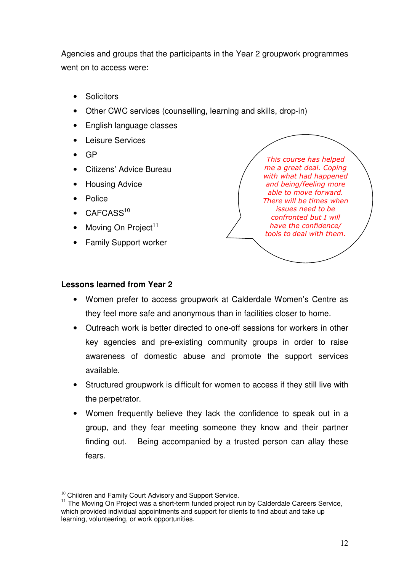Agencies and groups that the participants in the Year 2 groupwork programmes went on to access were:

- **Solicitors**
- Other CWC services (counselling, learning and skills, drop-in)
- English language classes
- Leisure Services
- GP
- Citizens' Advice Bureau
- Housing Advice
- **Police**
- $CAFCASS<sup>10</sup>$
- Moving On Project<sup>11</sup>
- Family Support worker

This course has helped me a great deal. Coping with what had happened and being/feeling more able to move forward. There will be times when issues need to be confronted but I will have the confidence/ tools to deal with them.

### **Lessons learned from Year 2**

- Women prefer to access groupwork at Calderdale Women's Centre as they feel more safe and anonymous than in facilities closer to home.
- Outreach work is better directed to one-off sessions for workers in other key agencies and pre-existing community groups in order to raise awareness of domestic abuse and promote the support services available.
- Structured groupwork is difficult for women to access if they still live with the perpetrator.
- Women frequently believe they lack the confidence to speak out in a group, and they fear meeting someone they know and their partner finding out. Being accompanied by a trusted person can allay these fears.

 $\overline{a}$  $10$  Children and Family Court Advisory and Support Service.

<sup>&</sup>lt;sup>11</sup> The Moving On Project was a short-term funded project run by Calderdale Careers Service, which provided individual appointments and support for clients to find about and take up learning, volunteering, or work opportunities.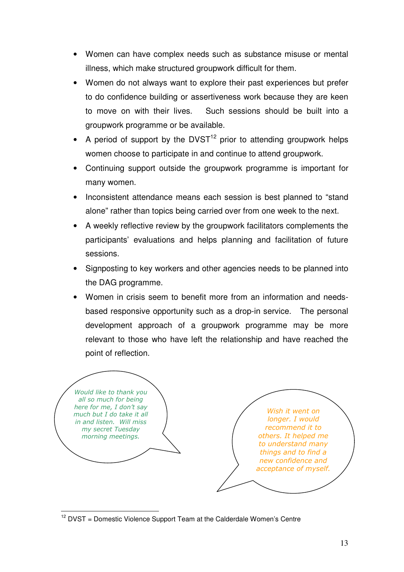- Women can have complex needs such as substance misuse or mental illness, which make structured groupwork difficult for them.
- Women do not always want to explore their past experiences but prefer to do confidence building or assertiveness work because they are keen to move on with their lives. Such sessions should be built into a groupwork programme or be available.
- A period of support by the  $DVST<sup>12</sup>$  prior to attending groupwork helps women choose to participate in and continue to attend groupwork.
- Continuing support outside the groupwork programme is important for many women.
- Inconsistent attendance means each session is best planned to "stand alone" rather than topics being carried over from one week to the next.
- A weekly reflective review by the groupwork facilitators complements the participants' evaluations and helps planning and facilitation of future sessions.
- Signposting to key workers and other agencies needs to be planned into the DAG programme.
- Women in crisis seem to benefit more from an information and needsbased responsive opportunity such as a drop-in service. The personal development approach of a groupwork programme may be more relevant to those who have left the relationship and have reached the point of reflection.

Would like to thank you all so much for being here for me, I don't say much but I do take it all in and listen. Will miss my secret Tuesday morning meetings.

Wish it went on longer. I would recommend it to others. It helped me to understand many things and to find a new confidence and acceptance of myself.

 $\overline{\phantom{a}}$  $12$  DVST = Domestic Violence Support Team at the Calderdale Women's Centre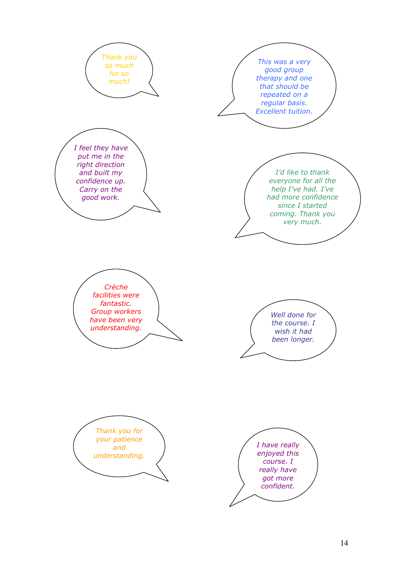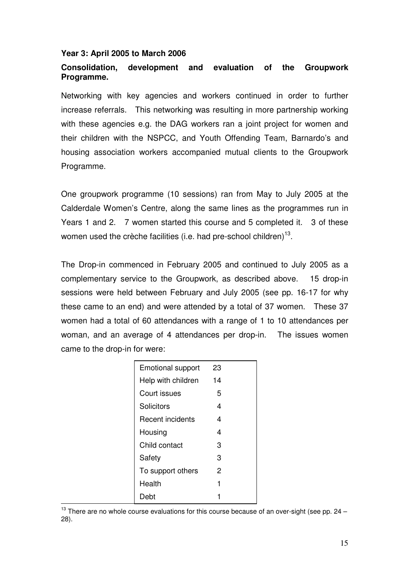#### **Year 3: April 2005 to March 2006**

### **Consolidation, development and evaluation of the Groupwork Programme.**

Networking with key agencies and workers continued in order to further increase referrals. This networking was resulting in more partnership working with these agencies e.g. the DAG workers ran a joint project for women and their children with the NSPCC, and Youth Offending Team, Barnardo's and housing association workers accompanied mutual clients to the Groupwork Programme.

One groupwork programme (10 sessions) ran from May to July 2005 at the Calderdale Women's Centre, along the same lines as the programmes run in Years 1 and 2. 7 women started this course and 5 completed it. 3 of these women used the crèche facilities (i.e. had pre-school children) $^{13}$ .

The Drop-in commenced in February 2005 and continued to July 2005 as a complementary service to the Groupwork, as described above. 15 drop-in sessions were held between February and July 2005 (see pp. 16-17 for why these came to an end) and were attended by a total of 37 women. These 37 women had a total of 60 attendances with a range of 1 to 10 attendances per woman, and an average of 4 attendances per drop-in. The issues women came to the drop-in for were:

| <b>Emotional support</b> | 23 |  |
|--------------------------|----|--|
| Help with children       | 14 |  |
| Court issues             | 5  |  |
| Solicitors               | 4  |  |
| Recent incidents         | 4  |  |
| Housing                  | 4  |  |
| Child contact            | 3  |  |
| Safety                   | 3  |  |
| To support others        | 2  |  |
| Health                   | 1  |  |
| Deht                     |    |  |

 $\overline{1}$  $^{13}$  There are no whole course evaluations for this course because of an over-sight (see pp. 24 – 28).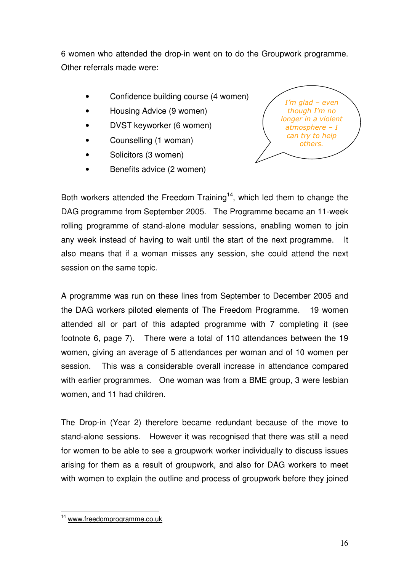6 women who attended the drop-in went on to do the Groupwork programme. Other referrals made were:

- Confidence building course (4 women)
- Housing Advice (9 women)
- DVST keyworker (6 women)
- Counselling (1 woman)
- Solicitors (3 women)
- Benefits advice (2 women)



Both workers attended the Freedom Training<sup>14</sup>, which led them to change the DAG programme from September 2005. The Programme became an 11-week rolling programme of stand-alone modular sessions, enabling women to join any week instead of having to wait until the start of the next programme. It also means that if a woman misses any session, she could attend the next session on the same topic.

A programme was run on these lines from September to December 2005 and the DAG workers piloted elements of The Freedom Programme. 19 women attended all or part of this adapted programme with 7 completing it (see footnote 6, page 7). There were a total of 110 attendances between the 19 women, giving an average of 5 attendances per woman and of 10 women per session. This was a considerable overall increase in attendance compared with earlier programmes. One woman was from a BME group, 3 were lesbian women, and 11 had children.

The Drop-in (Year 2) therefore became redundant because of the move to stand-alone sessions. However it was recognised that there was still a need for women to be able to see a groupwork worker individually to discuss issues arising for them as a result of groupwork, and also for DAG workers to meet with women to explain the outline and process of groupwork before they joined

 $\overline{\phantom{a}}$ <sup>14</sup> www.freedomprogramme.co.uk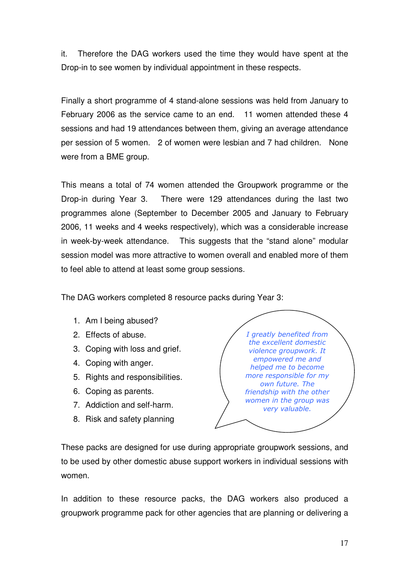it. Therefore the DAG workers used the time they would have spent at the Drop-in to see women by individual appointment in these respects.

Finally a short programme of 4 stand-alone sessions was held from January to February 2006 as the service came to an end. 11 women attended these 4 sessions and had 19 attendances between them, giving an average attendance per session of 5 women. 2 of women were lesbian and 7 had children. None were from a BME group.

This means a total of 74 women attended the Groupwork programme or the Drop-in during Year 3. There were 129 attendances during the last two programmes alone (September to December 2005 and January to February 2006, 11 weeks and 4 weeks respectively), which was a considerable increase in week-by-week attendance. This suggests that the "stand alone" modular session model was more attractive to women overall and enabled more of them to feel able to attend at least some group sessions.

The DAG workers completed 8 resource packs during Year 3:

- 1. Am I being abused?
- 2. Effects of abuse.
- 3. Coping with loss and grief.
- 4. Coping with anger.
- 5. Rights and responsibilities.
- 6. Coping as parents.
- 7. Addiction and self-harm.
- 8. Risk and safety planning

I greatly benefited from the excellent domestic violence groupwork. It empowered me and helped me to become more responsible for my own future. The friendship with the other women in the group was very valuable.

These packs are designed for use during appropriate groupwork sessions, and to be used by other domestic abuse support workers in individual sessions with women.

In addition to these resource packs, the DAG workers also produced a groupwork programme pack for other agencies that are planning or delivering a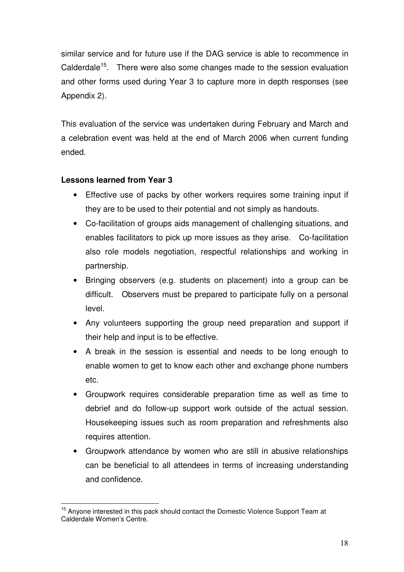similar service and for future use if the DAG service is able to recommence in Calderdale<sup>15</sup>. There were also some changes made to the session evaluation and other forms used during Year 3 to capture more in depth responses (see Appendix 2).

This evaluation of the service was undertaken during February and March and a celebration event was held at the end of March 2006 when current funding ended.

### **Lessons learned from Year 3**

- Effective use of packs by other workers requires some training input if they are to be used to their potential and not simply as handouts.
- Co-facilitation of groups aids management of challenging situations, and enables facilitators to pick up more issues as they arise. Co-facilitation also role models negotiation, respectful relationships and working in partnership.
- Bringing observers (e.g. students on placement) into a group can be difficult. Observers must be prepared to participate fully on a personal level.
- Any volunteers supporting the group need preparation and support if their help and input is to be effective.
- A break in the session is essential and needs to be long enough to enable women to get to know each other and exchange phone numbers etc.
- Groupwork requires considerable preparation time as well as time to debrief and do follow-up support work outside of the actual session. Housekeeping issues such as room preparation and refreshments also requires attention.
- Groupwork attendance by women who are still in abusive relationships can be beneficial to all attendees in terms of increasing understanding and confidence.

 $\overline{1}$ <sup>15</sup> Anyone interested in this pack should contact the Domestic Violence Support Team at Calderdale Women's Centre.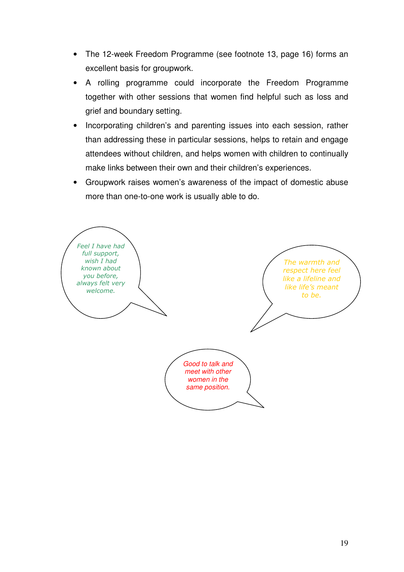- The 12-week Freedom Programme (see footnote 13, page 16) forms an excellent basis for groupwork.
- A rolling programme could incorporate the Freedom Programme together with other sessions that women find helpful such as loss and grief and boundary setting.
- Incorporating children's and parenting issues into each session, rather than addressing these in particular sessions, helps to retain and engage attendees without children, and helps women with children to continually make links between their own and their children's experiences.
- Groupwork raises women's awareness of the impact of domestic abuse more than one-to-one work is usually able to do.

The warmth and respect here feel like a lifeline and like life's meant to be. Feel I have had full support, wish I had known about you before, always felt very welcome. Good to talk and meet with other women in the same position.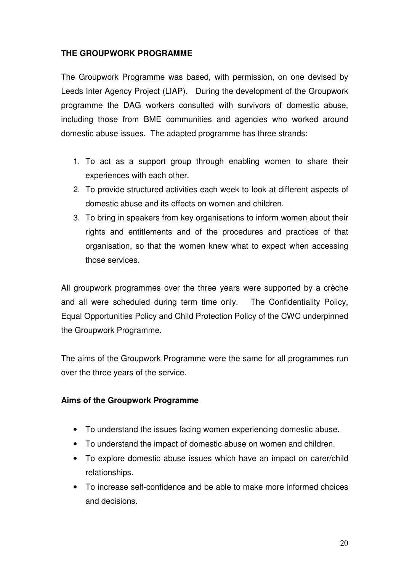### **THE GROUPWORK PROGRAMME**

The Groupwork Programme was based, with permission, on one devised by Leeds Inter Agency Project (LIAP). During the development of the Groupwork programme the DAG workers consulted with survivors of domestic abuse, including those from BME communities and agencies who worked around domestic abuse issues. The adapted programme has three strands:

- 1. To act as a support group through enabling women to share their experiences with each other.
- 2. To provide structured activities each week to look at different aspects of domestic abuse and its effects on women and children.
- 3. To bring in speakers from key organisations to inform women about their rights and entitlements and of the procedures and practices of that organisation, so that the women knew what to expect when accessing those services.

All groupwork programmes over the three years were supported by a crèche and all were scheduled during term time only. The Confidentiality Policy, Equal Opportunities Policy and Child Protection Policy of the CWC underpinned the Groupwork Programme.

The aims of the Groupwork Programme were the same for all programmes run over the three years of the service.

### **Aims of the Groupwork Programme**

- To understand the issues facing women experiencing domestic abuse.
- To understand the impact of domestic abuse on women and children.
- To explore domestic abuse issues which have an impact on carer/child relationships.
- To increase self-confidence and be able to make more informed choices and decisions.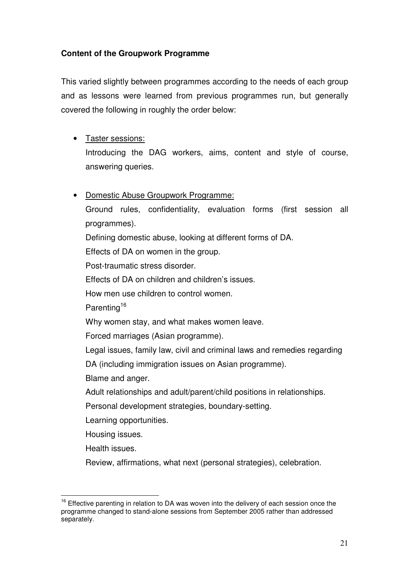### **Content of the Groupwork Programme**

This varied slightly between programmes according to the needs of each group and as lessons were learned from previous programmes run, but generally covered the following in roughly the order below:

- Taster sessions: Introducing the DAG workers, aims, content and style of course, answering queries.
- Domestic Abuse Groupwork Programme:

Ground rules, confidentiality, evaluation forms (first session all programmes).

Defining domestic abuse, looking at different forms of DA.

Effects of DA on women in the group.

Post-traumatic stress disorder.

Effects of DA on children and children's issues.

How men use children to control women.

Parenting<sup>16</sup>

Why women stay, and what makes women leave.

Forced marriages (Asian programme).

Legal issues, family law, civil and criminal laws and remedies regarding

DA (including immigration issues on Asian programme).

Blame and anger.

Adult relationships and adult/parent/child positions in relationships.

Personal development strategies, boundary-setting.

Learning opportunities.

Housing issues.

Health issues.

Review, affirmations, what next (personal strategies), celebration.

 $\overline{\phantom{a}}$ <sup>16</sup> Effective parenting in relation to DA was woven into the delivery of each session once the programme changed to stand-alone sessions from September 2005 rather than addressed separately.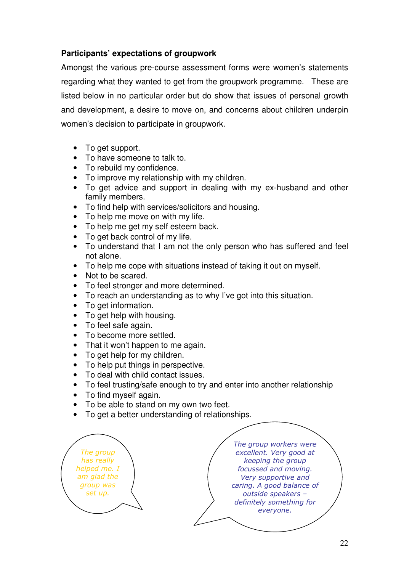### **Participants' expectations of groupwork**

Amongst the various pre-course assessment forms were women's statements regarding what they wanted to get from the groupwork programme. These are listed below in no particular order but do show that issues of personal growth and development, a desire to move on, and concerns about children underpin women's decision to participate in groupwork.

- To get support.
- To have someone to talk to.
- To rebuild my confidence.
- To improve my relationship with my children.
- To get advice and support in dealing with my ex-husband and other family members.
- To find help with services/solicitors and housing.
- To help me move on with my life.
- To help me get my self esteem back.
- To get back control of my life.
- To understand that I am not the only person who has suffered and feel not alone.
- To help me cope with situations instead of taking it out on myself.
- Not to be scared.
- To feel stronger and more determined.
- To reach an understanding as to why I've got into this situation.
- To get information.
- To get help with housing.
- To feel safe again.
- To become more settled.
- That it won't happen to me again.
- To get help for my children.
- To help put things in perspective.
- To deal with child contact issues.
- To feel trusting/safe enough to try and enter into another relationship
- To find myself again.
- To be able to stand on my own two feet.
- To get a better understanding of relationships.

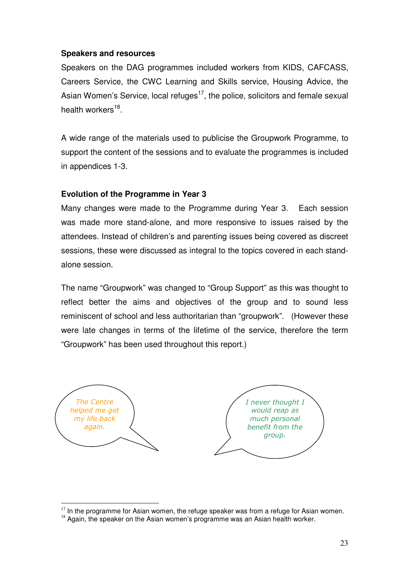### **Speakers and resources**

Speakers on the DAG programmes included workers from KIDS, CAFCASS, Careers Service, the CWC Learning and Skills service, Housing Advice, the Asian Women's Service, local refuges<sup>17</sup>, the police, solicitors and female sexual health workers<sup>18</sup>.

A wide range of the materials used to publicise the Groupwork Programme, to support the content of the sessions and to evaluate the programmes is included in appendices 1-3.

### **Evolution of the Programme in Year 3**

Many changes were made to the Programme during Year 3. Each session was made more stand-alone, and more responsive to issues raised by the attendees. Instead of children's and parenting issues being covered as discreet sessions, these were discussed as integral to the topics covered in each standalone session.

The name "Groupwork" was changed to "Group Support" as this was thought to reflect better the aims and objectives of the group and to sound less reminiscent of school and less authoritarian than "groupwork". (However these were late changes in terms of the lifetime of the service, therefore the term "Groupwork" has been used throughout this report.)



 $\overline{a}$ 

 $17$  In the programme for Asian women, the refuge speaker was from a refuge for Asian women.

 $18$  Again, the speaker on the Asian women's programme was an Asian health worker.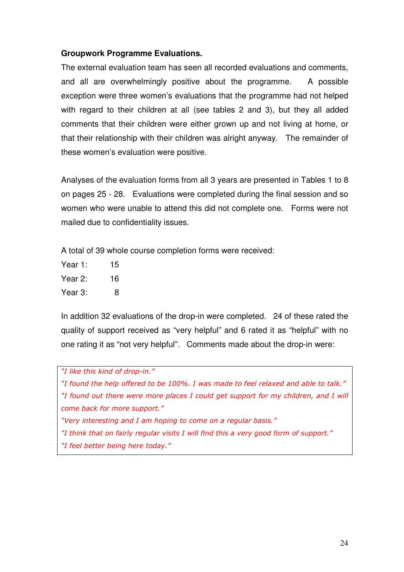### **Groupwork Programme Evaluations.**

The external evaluation team has seen all recorded evaluations and comments, and all are overwhelmingly positive about the programme. A possible exception were three women's evaluations that the programme had not helped with regard to their children at all (see tables 2 and 3), but they all added comments that their children were either grown up and not living at home, or that their relationship with their children was alright anyway. The remainder of these women's evaluation were positive.

Analyses of the evaluation forms from all 3 years are presented in Tables 1 to 8 on pages 25 - 28. Evaluations were completed during the final session and so women who were unable to attend this did not complete one. Forms were not mailed due to confidentiality issues.

A total of 39 whole course completion forms were received:

- Year 1: 15 Year 2: 16
- Year 3: 8

In addition 32 evaluations of the drop-in were completed. 24 of these rated the quality of support received as "very helpful" and 6 rated it as "helpful" with no one rating it as "not very helpful". Comments made about the drop-in were:

"I like this kind of drop-in."

"I found the help offered to be 100%. I was made to feel relaxed and able to talk." "I found out there were more places I could get support for my children, and I will come back for more support."

"Very interesting and I am hoping to come on a regular basis."

"I think that on fairly regular visits I will find this a very good form of support."

"I feel better being here today."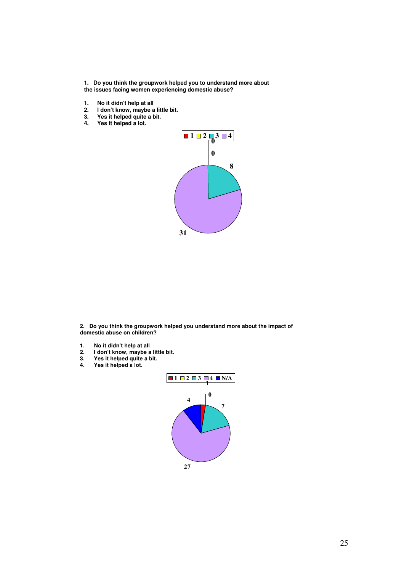**1. Do you think the groupwork helped you to understand more about the issues facing women experiencing domestic abuse?**

**1. No it didn't help at all**

**4. Yes it helped a lot.**

- **2. I don't know, maybe a little bit.**
- **3. Yes it helped quite a bit.**
- $\frac{1}{1}$  **2 3 4 0 8 31**

**2. Do you think the groupwork helped you understand more about the impact of domestic abuse on children?**

- **1. No it didn't help at all**
- **2. I don't know, maybe a little bit.**
- **3. Yes it helped quite a bit.**
- **4. Yes it helped a lot.**

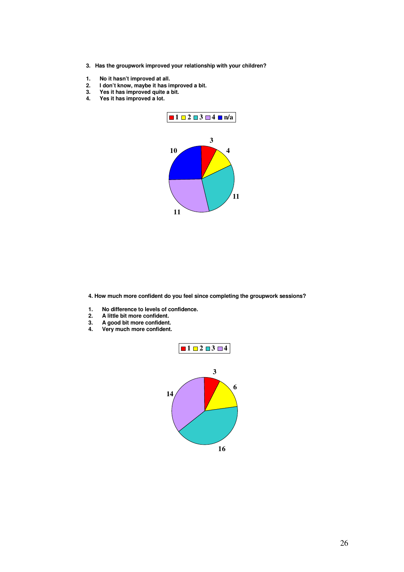- **3. Has the groupwork improved your relationship with your children?**
- 
- **1.** No it hasn't improved at all.<br>**2.** I don't know, maybe it has in<br>3. Yes it has improved quite a **2. I don't know, maybe it has improved a bit.**
- **3. Yes it has improved quite a bit.**
- **4. Yes it has improved a lot.**



**4. How much more confident do you feel since completing the groupwork sessions?**

- **1. No difference to levels of confidence.**
- **2. A little bit more confident.**
- 
- **3. A good bit more confident. 4. Very much more confident.**

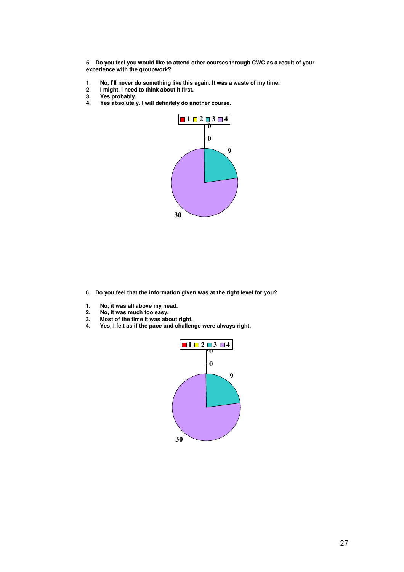**5. Do you feel you would like to attend other courses through CWC as a result of your experience with the groupwork?**

- **1. No, I'll never do something like this again. It was a waste of my time.**
- **2. I might. I need to think about it first.**
- 3. Yes probably.<br>4. Yes absolutely
- **4. Yes absolutely. I will definitely do another course.**



- **6. Do you feel that the information given was at the right level for you?**
- **1. No, it was all above my head.**
- **2. No, it was much too easy.**
- 
- **3. Most of the time it was about right. 4. Yes, I felt as if the pace and challenge were always right.**

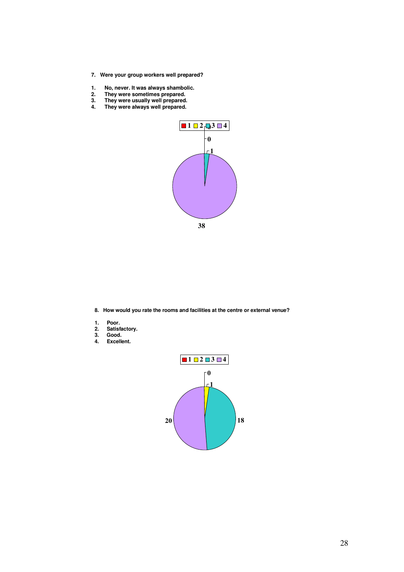- **7. Were your group workers well prepared?**
- **1. No, never. It was always shambolic.**
- **2. They were sometimes prepared.**
- **3. They were usually well prepared.**
- **4. They were always well prepared.**



**8. How would you rate the rooms and facilities at the centre or external venue?**

- **1. Poor.**
- **2. Satisfactory.**
- **3. Good.**
- **4. Excellent.**

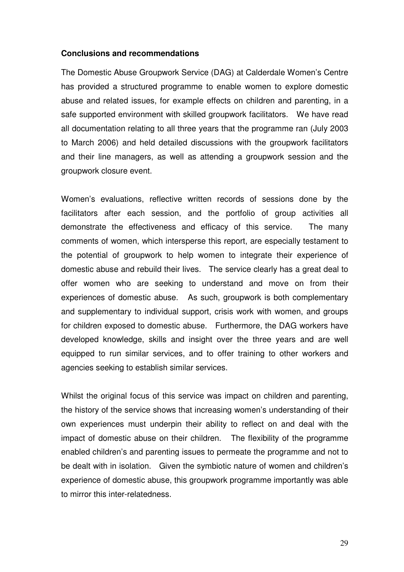#### **Conclusions and recommendations**

The Domestic Abuse Groupwork Service (DAG) at Calderdale Women's Centre has provided a structured programme to enable women to explore domestic abuse and related issues, for example effects on children and parenting, in a safe supported environment with skilled groupwork facilitators. We have read all documentation relating to all three years that the programme ran (July 2003 to March 2006) and held detailed discussions with the groupwork facilitators and their line managers, as well as attending a groupwork session and the groupwork closure event.

Women's evaluations, reflective written records of sessions done by the facilitators after each session, and the portfolio of group activities all demonstrate the effectiveness and efficacy of this service. The many comments of women, which intersperse this report, are especially testament to the potential of groupwork to help women to integrate their experience of domestic abuse and rebuild their lives. The service clearly has a great deal to offer women who are seeking to understand and move on from their experiences of domestic abuse. As such, groupwork is both complementary and supplementary to individual support, crisis work with women, and groups for children exposed to domestic abuse. Furthermore, the DAG workers have developed knowledge, skills and insight over the three years and are well equipped to run similar services, and to offer training to other workers and agencies seeking to establish similar services.

Whilst the original focus of this service was impact on children and parenting, the history of the service shows that increasing women's understanding of their own experiences must underpin their ability to reflect on and deal with the impact of domestic abuse on their children. The flexibility of the programme enabled children's and parenting issues to permeate the programme and not to be dealt with in isolation. Given the symbiotic nature of women and children's experience of domestic abuse, this groupwork programme importantly was able to mirror this inter-relatedness.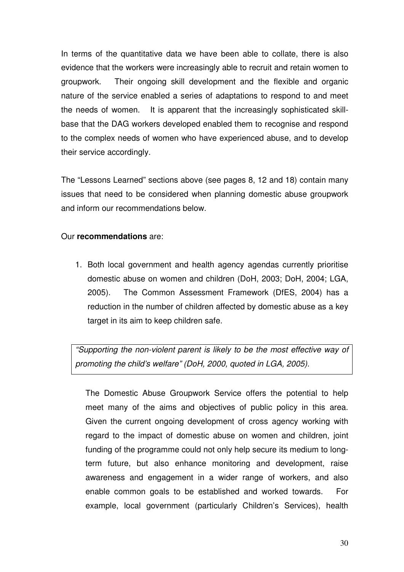In terms of the quantitative data we have been able to collate, there is also evidence that the workers were increasingly able to recruit and retain women to groupwork. Their ongoing skill development and the flexible and organic nature of the service enabled a series of adaptations to respond to and meet the needs of women. It is apparent that the increasingly sophisticated skillbase that the DAG workers developed enabled them to recognise and respond to the complex needs of women who have experienced abuse, and to develop their service accordingly.

The "Lessons Learned" sections above (see pages 8, 12 and 18) contain many issues that need to be considered when planning domestic abuse groupwork and inform our recommendations below.

### Our **recommendations** are:

1. Both local government and health agency agendas currently prioritise domestic abuse on women and children (DoH, 2003; DoH, 2004; LGA, 2005). The Common Assessment Framework (DfES, 2004) has a reduction in the number of children affected by domestic abuse as a key target in its aim to keep children safe.

"Supporting the non-violent parent is likely to be the most effective way of promoting the child's welfare" (DoH, 2000, quoted in LGA, 2005).

The Domestic Abuse Groupwork Service offers the potential to help meet many of the aims and objectives of public policy in this area. Given the current ongoing development of cross agency working with regard to the impact of domestic abuse on women and children, joint funding of the programme could not only help secure its medium to longterm future, but also enhance monitoring and development, raise awareness and engagement in a wider range of workers, and also enable common goals to be established and worked towards. For example, local government (particularly Children's Services), health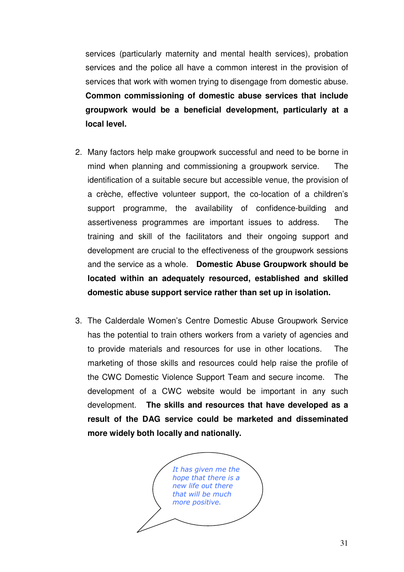services (particularly maternity and mental health services), probation services and the police all have a common interest in the provision of services that work with women trying to disengage from domestic abuse. **Common commissioning of domestic abuse services that include groupwork would be a beneficial development, particularly at a local level.** 

- 2. Many factors help make groupwork successful and need to be borne in mind when planning and commissioning a groupwork service. The identification of a suitable secure but accessible venue, the provision of a crèche, effective volunteer support, the co-location of a children's support programme, the availability of confidence-building and assertiveness programmes are important issues to address. The training and skill of the facilitators and their ongoing support and development are crucial to the effectiveness of the groupwork sessions and the service as a whole. **Domestic Abuse Groupwork should be located within an adequately resourced, established and skilled domestic abuse support service rather than set up in isolation.**
- 3. The Calderdale Women's Centre Domestic Abuse Groupwork Service has the potential to train others workers from a variety of agencies and to provide materials and resources for use in other locations. The marketing of those skills and resources could help raise the profile of the CWC Domestic Violence Support Team and secure income. The development of a CWC website would be important in any such development. **The skills and resources that have developed as a result of the DAG service could be marketed and disseminated more widely both locally and nationally.**

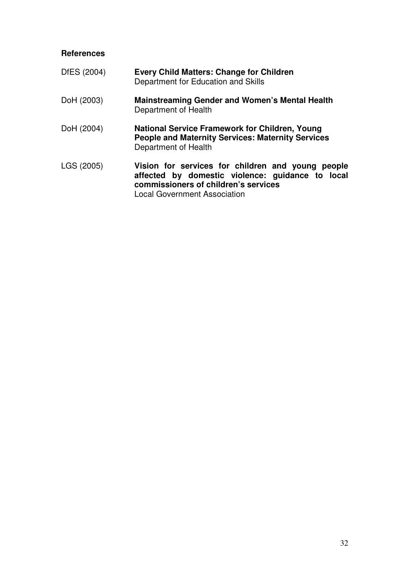### **References**

| DfES (2004) | <b>Every Child Matters: Change for Children</b><br>Department for Education and Skills                                                                                               |
|-------------|--------------------------------------------------------------------------------------------------------------------------------------------------------------------------------------|
| DoH (2003)  | <b>Mainstreaming Gender and Women's Mental Health</b><br>Department of Health                                                                                                        |
| DoH (2004)  | <b>National Service Framework for Children, Young</b><br><b>People and Maternity Services: Maternity Services</b><br>Department of Health                                            |
| LGS (2005)  | Vision for services for children and young people<br>affected by domestic violence: guidance to local<br>commissioners of children's services<br><b>Local Government Association</b> |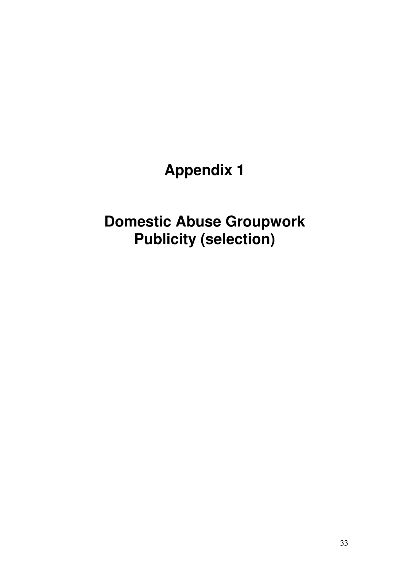# **Appendix 1**

# **Domestic Abuse Groupwork Publicity (selection)**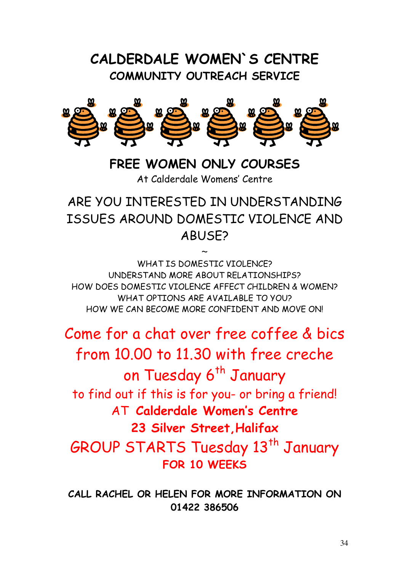# CALDERDALE WOMEN`S CENTRE COMMUNITY OUTREACH SERVICE



FRFF WOMEN ONLY COURSES At Calderdale Womens' Centre

ARE YOU INTERESTED IN UNDERSTANDING ISSUES AROUND DOMESTIC VIOLENCE AND ABUSE?

 $\sim$ 

WHAT IS DOMESTIC VIOLENCE? UNDERSTAND MORE ABOUT RELATIONSHIPS? HOW DOES DOMESTIC VIOLENCE AFFECT CHILDREN & WOMEN? WHAT OPTIONS ARE AVAILABLE TO YOU? HOW WE CAN BECOME MORE CONFIDENT AND MOVE ON!

Come for a chat over free coffee & bics from 10.00 to 11.30 with free creche on Tuesday 6<sup>th</sup> January to find out if this is for you- or bring a friend! AT Calderdale Women's Centre 23 Silver Street,Halifax GROUP STARTS Tuesday 13<sup>th</sup> January FOR 10 WEEKS

CALL RACHEL OR HELEN FOR MORE INFORMATION ON 01422 386506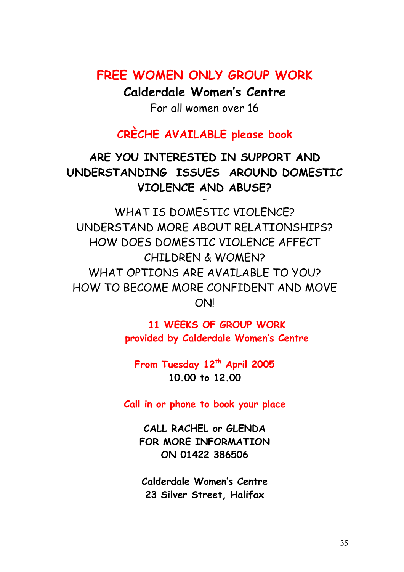### FREE WOMEN ONLY GROUP WORK

Calderdale Women's Centre

For all women over 16

### CRÈCHE AVAILABLE please book

ARE YOU INTERESTED IN SUPPORT AND UNDERSTANDING ISSUES AROUND DOMESTIC VIOLENCE AND ABUSE?

 $\ddot{\phantom{0}}$ 

WHAT IS DOMESTIC VIOLENCE? UNDERSTAND MORE ABOUT RELATIONSHIPS? HOW DOES DOMESTIC VIOLENCE AFFECT CHILDREN & WOMEN? WHAT OPTIONS ARF AVAILABLE TO YOU? HOW TO BECOME MORE CONFIDENT AND MOVE ON!

> 11 WEEKS OF GROUP WORK provided by Calderdale Women's Centre

From Tuesday 12<sup>th</sup> April 2005 10.00 to 12.00

Call in or phone to book your place

CALL RACHEL or GLENDA FOR MORE INFORMATION ON 01422 386506

Calderdale Women's Centre 23 Silver Street, Halifax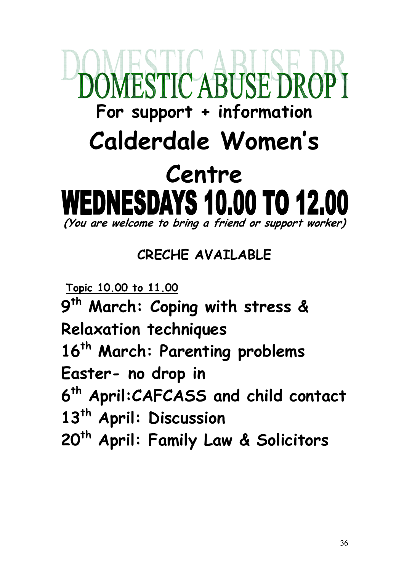# **ESTIC ABUSE DRO** For support  $+$  information Calderdale Women's Centre DNESDAYS 10.00 TO 12.00 (You are welcome to bring a friend or support worker)

CRECHE AVAILABLE

Topic 10.00 to 11.00

9<sup>th</sup> March: Coping with stress & Relaxation techniques 16<sup>th</sup> March: Parenting problems Easter- no drop in 6<sup>th</sup> April:CAFCASS and child contact 13<sup>th</sup> April: Discussion 20<sup>th</sup> April: Family Law & Solicitors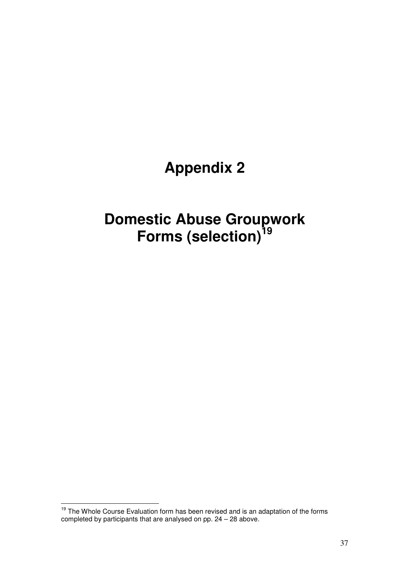# **Appendix 2**

# **Domestic Abuse Groupwork Forms (selection)<sup>19</sup>**

 $\overline{1}$ <sup>19</sup> The Whole Course Evaluation form has been revised and is an adaptation of the forms completed by participants that are analysed on pp. 24 – 28 above.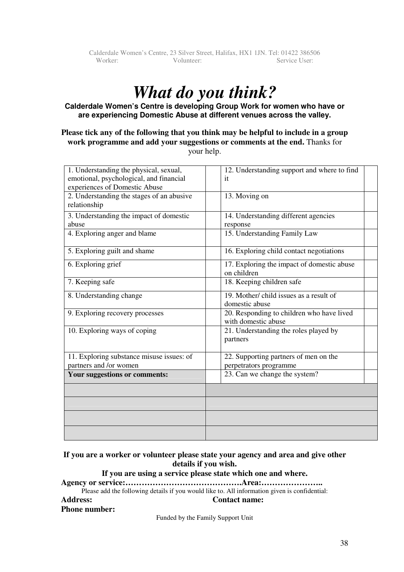# *What do you think?*

#### **Calderdale Women's Centre is developing Group Work for women who have or are experiencing Domestic Abuse at different venues across the valley.**

#### **Please tick any of the following that you think may be helpful to include in a group work programme and add your suggestions or comments at the end.** Thanks for your help.

| 1. Understanding the physical, sexual,    | 12. Understanding support and where to find |
|-------------------------------------------|---------------------------------------------|
| emotional, psychological, and financial   | it                                          |
| experiences of Domestic Abuse             |                                             |
| 2. Understanding the stages of an abusive | 13. Moving on                               |
| relationship                              |                                             |
|                                           |                                             |
| 3. Understanding the impact of domestic   | 14. Understanding different agencies        |
| abuse                                     | response                                    |
| 4. Exploring anger and blame              | 15. Understanding Family Law                |
|                                           |                                             |
| 5. Exploring guilt and shame              | 16. Exploring child contact negotiations    |
|                                           |                                             |
| 6. Exploring grief                        | 17. Exploring the impact of domestic abuse  |
|                                           | on children                                 |
| 7. Keeping safe                           | 18. Keeping children safe                   |
|                                           |                                             |
| 8. Understanding change                   | 19. Mother/ child issues as a result of     |
|                                           | domestic abuse                              |
| 9. Exploring recovery processes           | 20. Responding to children who have lived   |
|                                           | with domestic abuse                         |
|                                           |                                             |
| 10. Exploring ways of coping              | 21. Understanding the roles played by       |
|                                           | partners                                    |
|                                           |                                             |
| 11. Exploring substance misuse issues: of | 22. Supporting partners of men on the       |
| partners and /or women                    | perpetrators programme                      |
| Your suggestions or comments:             | 23. Can we change the system?               |
|                                           |                                             |
|                                           |                                             |
|                                           |                                             |
|                                           |                                             |
|                                           |                                             |
|                                           |                                             |
|                                           |                                             |

#### **If you are a worker or volunteer please state your agency and area and give other details if you wish.**

#### **If you are using a service please state which one and where.**

**Agency or service:…………………………………….Area:…………………..** 

Please add the following details if you would like to. All information given is confidential:

#### **Address: Contact name:**

#### **Phone number:**

Funded by the Family Support Unit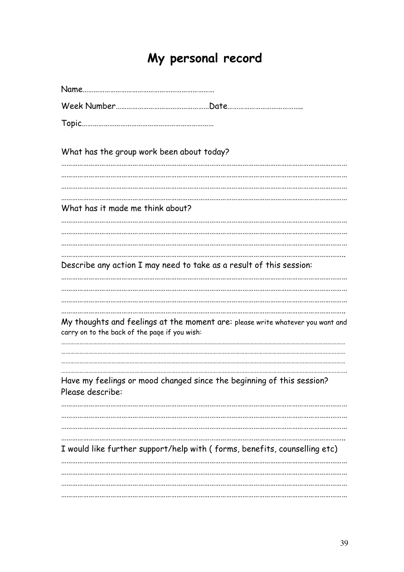# My personal record

| What has the group work been about today?                                                                                       |
|---------------------------------------------------------------------------------------------------------------------------------|
|                                                                                                                                 |
|                                                                                                                                 |
| What has it made me think about?                                                                                                |
|                                                                                                                                 |
|                                                                                                                                 |
|                                                                                                                                 |
| Describe any action I may need to take as a result of this session:                                                             |
|                                                                                                                                 |
|                                                                                                                                 |
|                                                                                                                                 |
| My thoughts and feelings at the moment are: please write whatever you want and<br>carry on to the back of the page if you wish: |
|                                                                                                                                 |
|                                                                                                                                 |
| Have my feelings or mood changed since the beginning of this session?<br>Please describe:                                       |
|                                                                                                                                 |
|                                                                                                                                 |
|                                                                                                                                 |
| I would like further support/help with (forms, benefits, counselling etc)                                                       |
|                                                                                                                                 |
|                                                                                                                                 |
|                                                                                                                                 |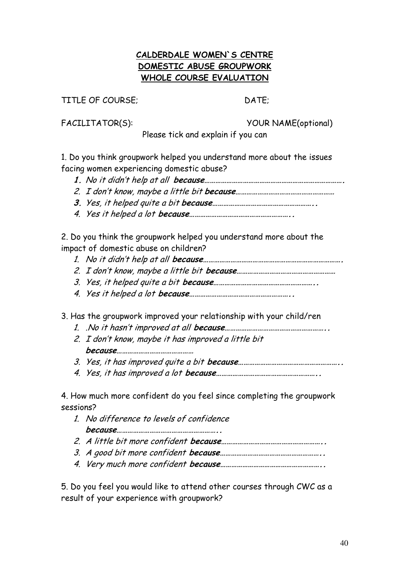### CALDERDALE WOMEN`S CENTRE DOMESTIC ABUSE GROUPWORK WHOLE COURSE EVALUATION

TITLE OF COURSE; DATE:

FACILITATOR(S): YOUR NAME(optional)

Please tick and explain if you can

1. Do you think groupwork helped you understand more about the issues facing women experiencing domestic abuse?

- 1. No it didn't help at all because………………………………………………………………….
- 2. I don't know, maybe a little bit because………………………………………………
- 3. Yes, it helped quite a bit because………………………………………………..
- 4. Yes it helped a lot because………………………………………………..

2. Do you think the groupwork helped you understand more about the impact of domestic abuse on children?

- 1. No it didn't help at all because………………………………………………………………….
- 2. I don't know, maybe a little bit because………………………………………………
- 3. Yes, it helped quite a bit because………………………………………………..
- 4. Yes it helped a lot because………………………………………………..

3. Has the groupwork improved your relationship with your child/ren

- 1. .No it hasn't improved at all because………………………………………………..
- 2. I don't know, maybe it has improved a little bit because……………………………………
- 3. Yes, it has improved quite a bit because………………………………………………..
- 4. Yes, it has improved a lot because………………………………………………..

4. How much more confident do you feel since completing the groupwork sessions?

- 1. No difference to levels of confidence because………………………………………………..
- 2. A little bit more confident because………………………………………………..
- 3. A good bit more confident because………………………………………………..
- 4. Very much more confident because………………………………………………..

5. Do you feel you would like to attend other courses through CWC as a result of your experience with groupwork?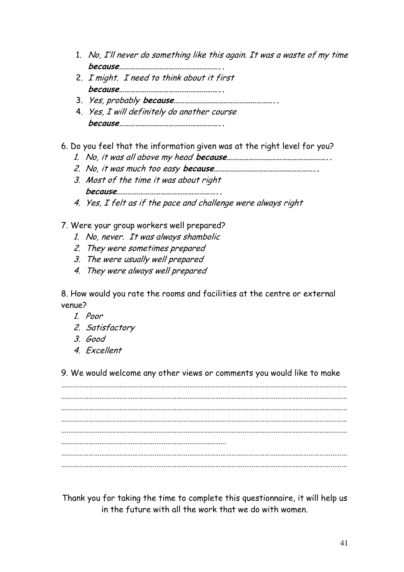- 1. No, I'll never do something like this again. It was a waste of my time because………………………………………………..
- 2. I might. I need to think about it first because………………………………………………..
- 3. Yes, probably because………………………………………………..
- 4. Yes, I will definitely do another course because………………………………………………..

6. Do you feel that the information given was at the right level for you?

- 1. No, it was all above my head because………………………………………………..
- 2. No, it was much too easy because………………………………………………..
- 3. Most of the time it was about right because………………………………………………..
- 4. Yes, I felt as if the pace and challenge were always right
- 7. Were your group workers well prepared?
	- 1. No, never. It was always shambolic
	- 2. They were sometimes prepared
	- 3. The were usually well prepared
	- 4. They were always well prepared

8. How would you rate the rooms and facilities at the centre or external venue?

- 1. Poor
- 2. Satisfactory
- 3. Good
- 4. Excellent

9. We would welcome any other views or comments you would like to make

………………………………………………………………………………………………………………………………………… ………………………………………………………………………………………………………………………………………… ………………………………………………………………………………………………………………………………………… ………………………………………………………………………………………………………………………………………… ………………………………………………………………………………………………………………………………………… ……………………………………………………………………………… ………………………………………………………………………………………………………………………………………… …………………………………………………………………………………………………………………………………………

Thank you for taking the time to complete this questionnaire, it will help us in the future with all the work that we do with women.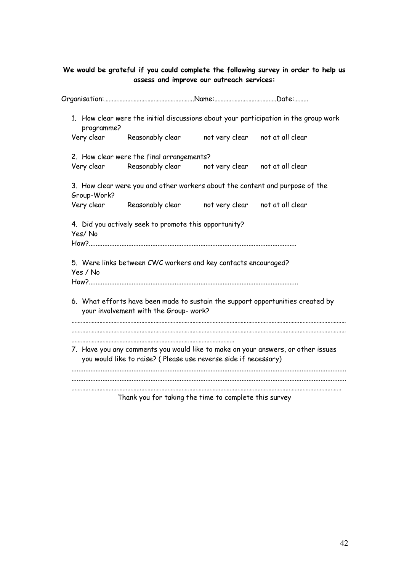### We would be grateful if you could complete the following survey in order to help us assess and improve our outreach services:

| programme?  | 1. How clear were the initial discussions about your participation in the group work                                                                |                                 |                                 |  |
|-------------|-----------------------------------------------------------------------------------------------------------------------------------------------------|---------------------------------|---------------------------------|--|
|             | Very clear Reasonably clear                                                                                                                         |                                 | not very clear not at all clear |  |
|             | 2. How clear were the final arrangements?                                                                                                           |                                 |                                 |  |
| Very clear  | Reasonably clear    not very clear                                                                                                                  |                                 | not at all clear                |  |
| Group-Work? | 3. How clear were you and other workers about the content and purpose of the                                                                        |                                 |                                 |  |
|             | Very clear Reasonably clear                                                                                                                         | not very clear                  | not at all clear                |  |
| Yes / No    | 5. Were links between CWC workers and key contacts encouraged?                                                                                      |                                 |                                 |  |
|             | 6. What efforts have been made to sustain the support opportunities created by<br>your involvement with the Group- work?                            |                                 |                                 |  |
|             | 7. Have you any comments you would like to make on your answers, or other issues<br>you would like to raise? (Please use reverse side if necessary) |                                 |                                 |  |
|             | The collection from Architect Alexandria and                                                                                                        | المائيلة المشاول ومروات المراجع |                                 |  |

Thank you for taking the time to complete this survey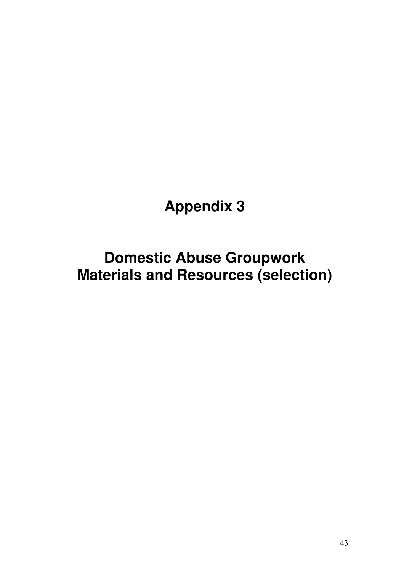# **Appendix 3**

**Domestic Abuse Groupwork Materials and Resources (selection)**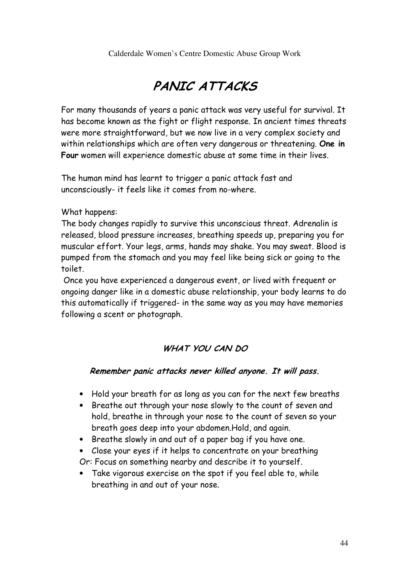Calderdale Women's Centre Domestic Abuse Group Work

# PANIC ATTACKS

For many thousands of years a panic attack was very useful for survival. It has become known as the fight or flight response. In ancient times threats were more straightforward, but we now live in a very complex society and within relationships which are often very dangerous or threatening. One in Four women will experience domestic abuse at some time in their lives.

The human mind has learnt to trigger a panic attack fast and unconsciously- it feels like it comes from no-where.

What happens:

The body changes rapidly to survive this unconscious threat. Adrenalin is released, blood pressure increases, breathing speeds up, preparing you for muscular effort. Your legs, arms, hands may shake. You may sweat. Blood is pumped from the stomach and you may feel like being sick or going to the toilet.

 Once you have experienced a dangerous event, or lived with frequent or ongoing danger like in a domestic abuse relationship, your body learns to do this automatically if triggered- in the same way as you may have memories following a scent or photograph.

### WHAT YOU CAN DO

### Remember panic attacks never killed anyone. It will pass.

- Hold your breath for as long as you can for the next few breaths
- Breathe out through your nose slowly to the count of seven and hold, breathe in through your nose to the count of seven so your breath goes deep into your abdomen.Hold, and again.
- Breathe slowly in and out of a paper bag if you have one.
- Close your eyes if it helps to concentrate on your breathing
- Or: Focus on something nearby and describe it to yourself.
- Take vigorous exercise on the spot if you feel able to, while breathing in and out of your nose.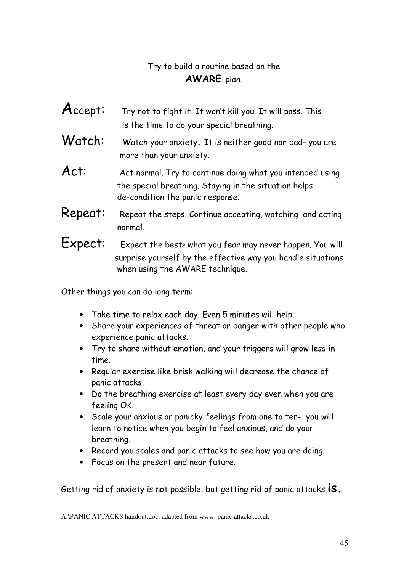### Try to build a routine based on the AWARE plan.

- $\overline{A}$ ccept: Try not to fight it. It won't kill you. It will pass. This is the time to do your special breathing.
- Watch: Watch your anxiety. It is neither good nor bad-you are more than your anxiety.
- Act: Act normal. Try to continue doing what you intended using the special breathing. Staying in the situation helps de-condition the panic response.
- Repeat: Repeat the steps. Continue accepting, watching and acting normal.
- Expect: Expect the best> what you fear may never happen. You will surprise yourself by the effective way you handle situations when using the AWARE technique.

Other things you can do long term:

- Take time to relax each day. Even 5 minutes will help.
- Share your experiences of threat or danger with other people who experience panic attacks.
- Try to share without emotion, and your triggers will grow less in time.
- Regular exercise like brisk walking will decrease the chance of panic attacks.
- Do the breathing exercise at least every day even when you are feeling OK.
- Scale your anxious or panicky feelings from one to ten- you will learn to notice when you begin to feel anxious, and do your breathing.
- Record you scales and panic attacks to see how you are doing.
- Focus on the present and near future.

Getting rid of anxiety is not possible, but getting rid of panic attacks **IS.** 

A:\PANIC ATTACKS handout.doc. adapted from www. panic attacks.co.uk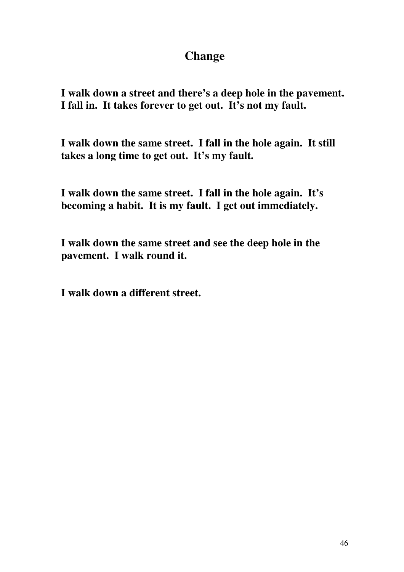### **Change**

**I walk down a street and there's a deep hole in the pavement. I fall in. It takes forever to get out. It's not my fault.** 

**I walk down the same street. I fall in the hole again. It still takes a long time to get out. It's my fault.** 

**I walk down the same street. I fall in the hole again. It's becoming a habit. It is my fault. I get out immediately.** 

**I walk down the same street and see the deep hole in the pavement. I walk round it.** 

**I walk down a different street.**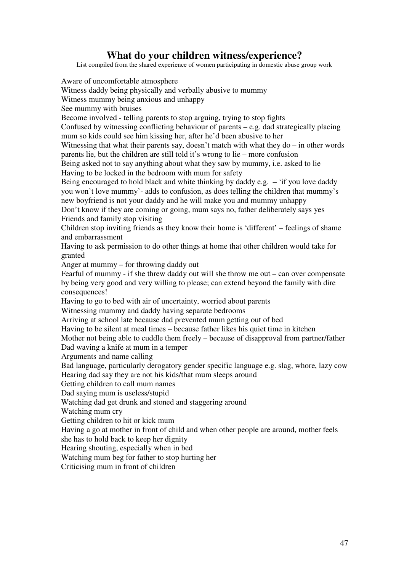### **What do your children witness/experience?**

List compiled from the shared experience of women participating in domestic abuse group work

Aware of uncomfortable atmosphere Witness daddy being physically and verbally abusive to mummy Witness mummy being anxious and unhappy See mummy with bruises Become involved - telling parents to stop arguing, trying to stop fights Confused by witnessing conflicting behaviour of parents – e.g. dad strategically placing mum so kids could see him kissing her, after he'd been abusive to her Witnessing that what their parents say, doesn't match with what they do – in other words parents lie, but the children are still told it's wrong to lie – more confusion Being asked not to say anything about what they saw by mummy, i.e. asked to lie Having to be locked in the bedroom with mum for safety Being encouraged to hold black and white thinking by daddy e.g. – 'if you love daddy you won't love mummy'- adds to confusion, as does telling the children that mummy's new boyfriend is not your daddy and he will make you and mummy unhappy Don't know if they are coming or going, mum says no, father deliberately says yes Friends and family stop visiting Children stop inviting friends as they know their home is 'different' – feelings of shame and embarrassment Having to ask permission to do other things at home that other children would take for granted Anger at mummy – for throwing daddy out Fearful of mummy - if she threw daddy out will she throw me out – can over compensate by being very good and very willing to please; can extend beyond the family with dire consequences! Having to go to bed with air of uncertainty, worried about parents Witnessing mummy and daddy having separate bedrooms Arriving at school late because dad prevented mum getting out of bed Having to be silent at meal times – because father likes his quiet time in kitchen Mother not being able to cuddle them freely – because of disapproval from partner/father Dad waving a knife at mum in a temper Arguments and name calling Bad language, particularly derogatory gender specific language e.g. slag, whore, lazy cow Hearing dad say they are not his kids/that mum sleeps around Getting children to call mum names Dad saying mum is useless/stupid Watching dad get drunk and stoned and staggering around Watching mum cry Getting children to hit or kick mum Having a go at mother in front of child and when other people are around, mother feels she has to hold back to keep her dignity Hearing shouting, especially when in bed Watching mum beg for father to stop hurting her Criticising mum in front of children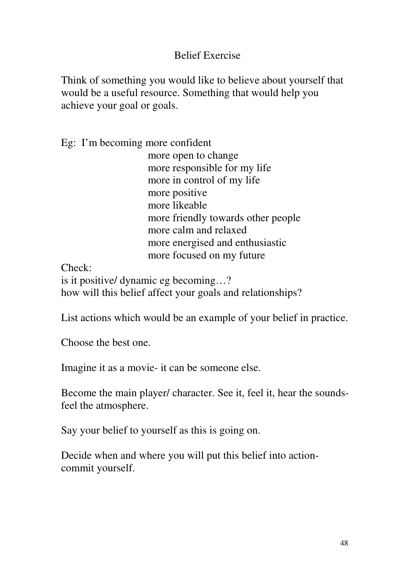### Belief Exercise

Think of something you would like to believe about yourself that would be a useful resource. Something that would help you achieve your goal or goals.

Eg: I'm becoming more confident

 more open to change more responsible for my life more in control of my life more positive more likeable more friendly towards other people more calm and relaxed more energised and enthusiastic more focused on my future

Check:

is it positive/ dynamic eg becoming…? how will this belief affect your goals and relationships?

List actions which would be an example of your belief in practice.

Choose the best one.

Imagine it as a movie- it can be someone else.

Become the main player/ character. See it, feel it, hear the soundsfeel the atmosphere.

Say your belief to yourself as this is going on.

Decide when and where you will put this belief into actioncommit yourself.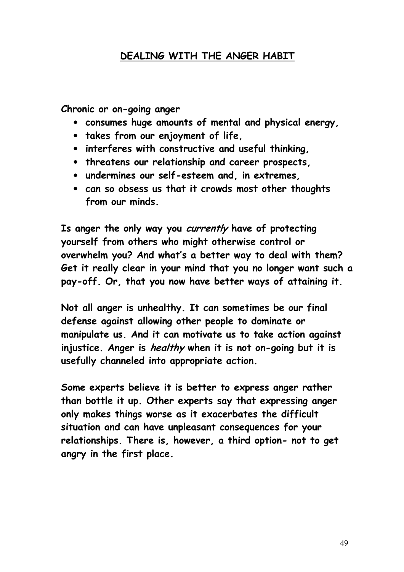### DEALING WITH THE ANGER HABIT

Chronic or on-going anger

- consumes huge amounts of mental and physical energy,
- takes from our enjoyment of life,
- interferes with constructive and useful thinking,
- threatens our relationship and career prospects,
- undermines our self-esteem and, in extremes,
- can so obsess us that it crowds most other thoughts from our minds.

Is anger the only way you currently have of protecting yourself from others who might otherwise control or overwhelm you? And what's a better way to deal with them? Get it really clear in your mind that you no longer want such a pay-off. Or, that you now have better ways of attaining it.

Not all anger is unhealthy. It can sometimes be our final defense against allowing other people to dominate or manipulate us. And it can motivate us to take action against injustice. Anger is *healthy* when it is not on-going but it is usefully channeled into appropriate action.

Some experts believe it is better to express anger rather than bottle it up. Other experts say that expressing anger only makes things worse as it exacerbates the difficult situation and can have unpleasant consequences for your relationships. There is, however, a third option- not to get angry in the first place.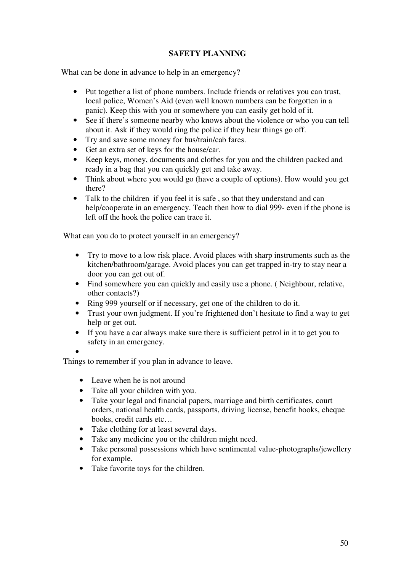### **SAFETY PLANNING**

What can be done in advance to help in an emergency?

- Put together a list of phone numbers. Include friends or relatives you can trust, local police, Women's Aid (even well known numbers can be forgotten in a panic). Keep this with you or somewhere you can easily get hold of it.
- See if there's someone nearby who knows about the violence or who you can tell about it. Ask if they would ring the police if they hear things go off.
- Try and save some money for bus/train/cab fares.
- Get an extra set of keys for the house/car.
- Keep keys, money, documents and clothes for you and the children packed and ready in a bag that you can quickly get and take away.
- Think about where you would go (have a couple of options). How would you get there?
- Talk to the children if you feel it is safe , so that they understand and can help/cooperate in an emergency. Teach then how to dial 999- even if the phone is left off the hook the police can trace it.

What can you do to protect yourself in an emergency?

- Try to move to a low risk place. Avoid places with sharp instruments such as the kitchen/bathroom/garage. Avoid places you can get trapped in-try to stay near a door you can get out of.
- Find somewhere you can quickly and easily use a phone. ( Neighbour, relative, other contacts?)
- Ring 999 yourself or if necessary, get one of the children to do it.
- Trust your own judgment. If you're frightened don't hesitate to find a way to get help or get out.
- If you have a car always make sure there is sufficient petrol in it to get you to safety in an emergency.

•

Things to remember if you plan in advance to leave.

- Leave when he is not around
- Take all your children with you.
- Take your legal and financial papers, marriage and birth certificates, court orders, national health cards, passports, driving license, benefit books, cheque books, credit cards etc…
- Take clothing for at least several days.
- Take any medicine you or the children might need.
- Take personal possessions which have sentimental value-photographs/jewellery for example.
- Take favorite toys for the children.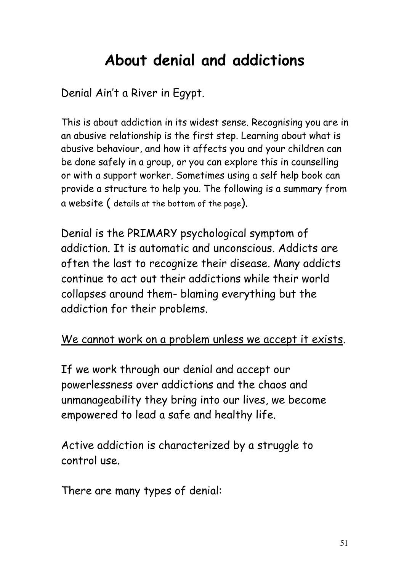# About denial and addictions

Denial Ain't a River in Egypt.

This is about addiction in its widest sense. Recognising you are in an abusive relationship is the first step. Learning about what is abusive behaviour, and how it affects you and your children can be done safely in a group, or you can explore this in counselling or with a support worker. Sometimes using a self help book can provide a structure to help you. The following is a summary from a website ( details at the bottom of the page).

Denial is the PRIMARY psychological symptom of addiction. It is automatic and unconscious. Addicts are often the last to recognize their disease. Many addicts continue to act out their addictions while their world collapses around them- blaming everything but the addiction for their problems.

### We cannot work on a problem unless we accept it exists.

If we work through our denial and accept our powerlessness over addictions and the chaos and unmanageability they bring into our lives, we become empowered to lead a safe and healthy life.

Active addiction is characterized by a struggle to control use.

There are many types of denial: